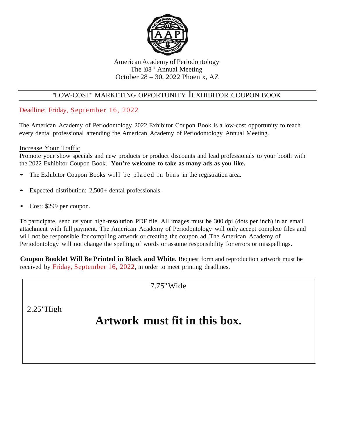

### American Academy of Periodontology The 108<sup>th</sup> Annual Meeting October 28 – 30, 2022 Phoenix, AZ

# "LOW-COST'' MARKETING OPPORTUNITY IEXHIBITOR COUPON BOOK

## Deadline: Friday, September 16, 2022

The American Academy of Periodontology 2022 Exhibitor Coupon Book is a low-cost opportunity to reach every dental professional attending the American Academy of Periodontology Annual Meeting.

## Increase Your Traffic

Promote your show specials and new products or product discounts and lead professionals to your booth with the 2022 Exhibitor Coupon Book. **You're welcome to take as many ads as you like.**

- The Exhibitor Coupon Books will be placed in bins in the registration area.
- Expected distribution: 2,500+ dental professionals.
- Cost: \$299 per coupon.

To participate, send us your high-resolution PDF file. All images must be 300 dpi (dots per inch) in an email attachment with full payment. The American Academy of Periodontology will only accept complete files and will not be responsible for compiling artwork or creating the coupon ad. The American Academy of Periodontology will not change the spelling of words or assume responsibility for errors or misspellings.

**Coupon Booklet Will Be Printed in Black and White**. Request form and reproduction artwork must be received by Friday, September 16, 2022, in order to meet printing deadlines.

7.75"Wide

2.25"High

# **Artwork must fit in this box.**